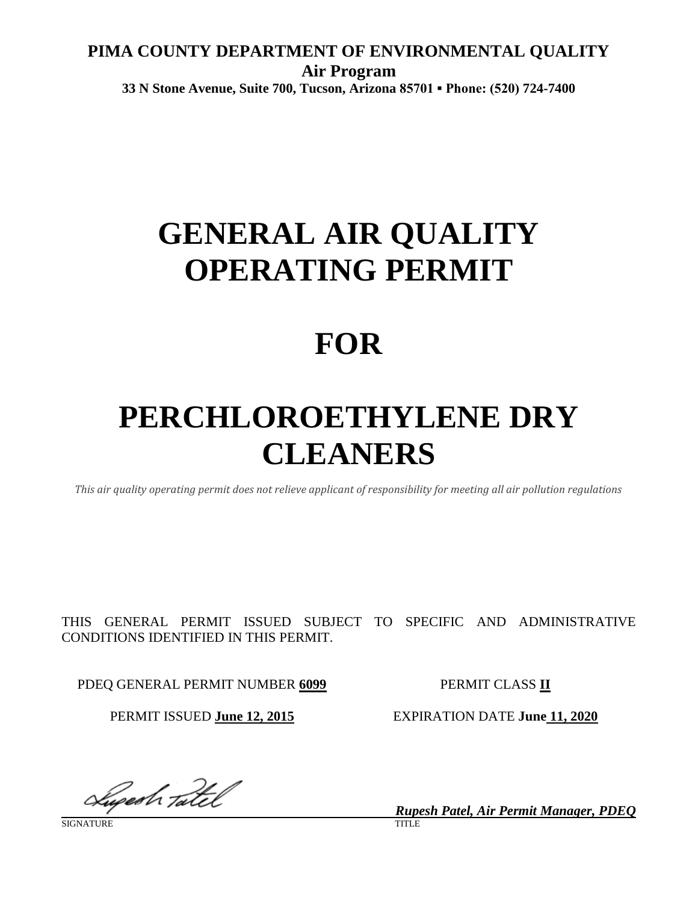## **PIMA COUNTY DEPARTMENT OF ENVIRONMENTAL QUALITY Air Program 33 N Stone Avenue, Suite 700, Tucson, Arizona 85701 ▪ Phone: (520) 724-7400**

# **GENERAL AIR QUALITY OPERATING PERMIT**

## **FOR**

# **PERCHLOROETHYLENE DRY CLEANERS**

*This air quality operating permit does not relieve applicant of responsibility for meeting all air pollution regulations*

THIS GENERAL PERMIT ISSUED SUBJECT TO SPECIFIC AND ADMINISTRATIVE CONDITIONS IDENTIFIED IN THIS PERMIT.

PDEQ GENERAL PERMIT NUMBER **6099** PERMIT CLASS **II**

PERMIT ISSUED **June 12, 2015** EXPIRATION DATE **June 11, 2020**

Sugesh Tatel

*Rupesh Patel, Air Permit Manager, PDEQ*

SIGNATURE TITLE THE SERVICE OF THE SERVICE OF THE SERVICE OF THE SERVICE OF THE SERVICE OF THE SERVICE OF THE S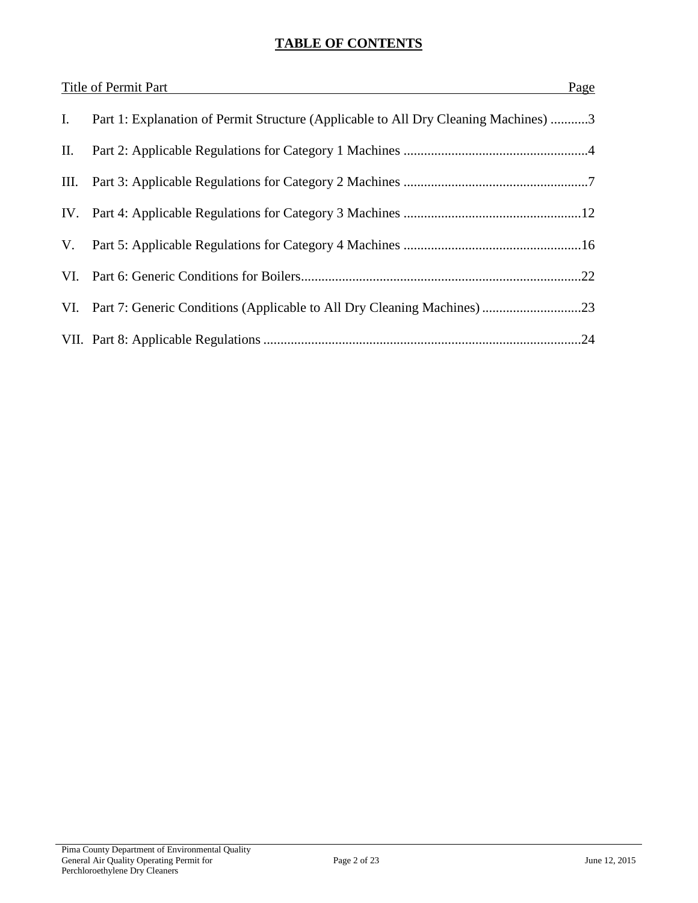## **TABLE OF CONTENTS**

|    | Title of Permit Part<br>Page                                                        |  |
|----|-------------------------------------------------------------------------------------|--|
| Ι. | Part 1: Explanation of Permit Structure (Applicable to All Dry Cleaning Machines) 3 |  |
| П. |                                                                                     |  |
|    |                                                                                     |  |
|    |                                                                                     |  |
| V. |                                                                                     |  |
|    |                                                                                     |  |
|    |                                                                                     |  |
|    | .24                                                                                 |  |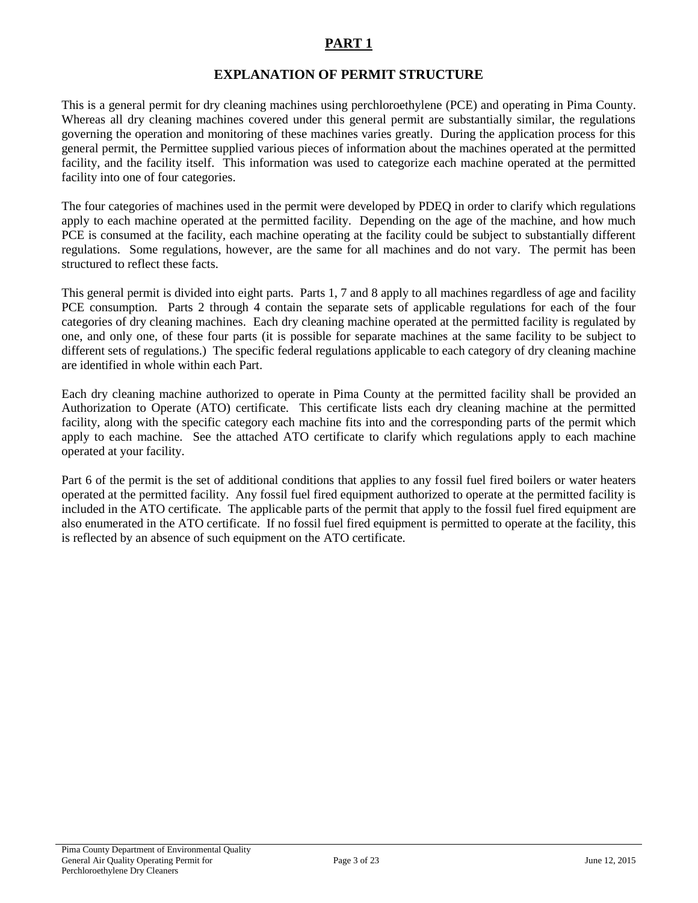## **EXPLANATION OF PERMIT STRUCTURE**

This is a general permit for dry cleaning machines using perchloroethylene (PCE) and operating in Pima County. Whereas all dry cleaning machines covered under this general permit are substantially similar, the regulations governing the operation and monitoring of these machines varies greatly. During the application process for this general permit, the Permittee supplied various pieces of information about the machines operated at the permitted facility, and the facility itself. This information was used to categorize each machine operated at the permitted facility into one of four categories.

The four categories of machines used in the permit were developed by PDEQ in order to clarify which regulations apply to each machine operated at the permitted facility. Depending on the age of the machine, and how much PCE is consumed at the facility, each machine operating at the facility could be subject to substantially different regulations. Some regulations, however, are the same for all machines and do not vary. The permit has been structured to reflect these facts.

This general permit is divided into eight parts. Parts 1, 7 and 8 apply to all machines regardless of age and facility PCE consumption. Parts 2 through 4 contain the separate sets of applicable regulations for each of the four categories of dry cleaning machines. Each dry cleaning machine operated at the permitted facility is regulated by one, and only one, of these four parts (it is possible for separate machines at the same facility to be subject to different sets of regulations.) The specific federal regulations applicable to each category of dry cleaning machine are identified in whole within each Part.

Each dry cleaning machine authorized to operate in Pima County at the permitted facility shall be provided an Authorization to Operate (ATO) certificate. This certificate lists each dry cleaning machine at the permitted facility, along with the specific category each machine fits into and the corresponding parts of the permit which apply to each machine. See the attached ATO certificate to clarify which regulations apply to each machine operated at your facility.

Part 6 of the permit is the set of additional conditions that applies to any fossil fuel fired boilers or water heaters operated at the permitted facility. Any fossil fuel fired equipment authorized to operate at the permitted facility is included in the ATO certificate. The applicable parts of the permit that apply to the fossil fuel fired equipment are also enumerated in the ATO certificate. If no fossil fuel fired equipment is permitted to operate at the facility, this is reflected by an absence of such equipment on the ATO certificate.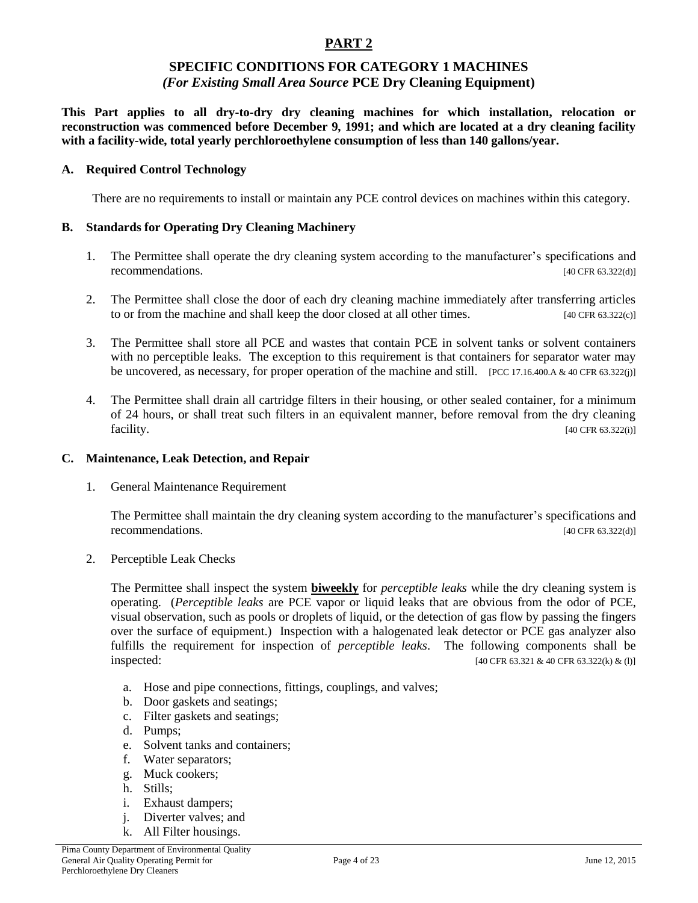#### **SPECIFIC CONDITIONS FOR CATEGORY 1 MACHINES** *(For Existing Small Area Source* **PCE Dry Cleaning Equipment)**

**This Part applies to all dry-to-dry dry cleaning machines for which installation, relocation or reconstruction was commenced before December 9, 1991; and which are located at a dry cleaning facility with a facility-wide, total yearly perchloroethylene consumption of less than 140 gallons/year.**

#### **A. Required Control Technology**

There are no requirements to install or maintain any PCE control devices on machines within this category.

#### **B. Standards for Operating Dry Cleaning Machinery**

- 1. The Permittee shall operate the dry cleaning system according to the manufacturer's specifications and recommendations. [40 CFR 63.322(d)]
- 2. The Permittee shall close the door of each dry cleaning machine immediately after transferring articles to or from the machine and shall keep the door closed at all other times. [40 CFR 63.322(c)]
- 3. The Permittee shall store all PCE and wastes that contain PCE in solvent tanks or solvent containers with no perceptible leaks. The exception to this requirement is that containers for separator water may be uncovered, as necessary, for proper operation of the machine and still. [PCC 17.16.400.A & 40 CFR 63.322(j)]
- 4. The Permittee shall drain all cartridge filters in their housing, or other sealed container, for a minimum of 24 hours, or shall treat such filters in an equivalent manner, before removal from the dry cleaning facility. [40 CFR 63.322(i)]

#### **C. Maintenance, Leak Detection, and Repair**

1. General Maintenance Requirement

The Permittee shall maintain the dry cleaning system according to the manufacturer's specifications and recommendations. [40 CFR 63.322(d)]

2. Perceptible Leak Checks

The Permittee shall inspect the system **biweekly** for *perceptible leaks* while the dry cleaning system is operating. (*Perceptible leaks* are PCE vapor or liquid leaks that are obvious from the odor of PCE, visual observation, such as pools or droplets of liquid, or the detection of gas flow by passing the fingers over the surface of equipment.) Inspection with a halogenated leak detector or PCE gas analyzer also fulfills the requirement for inspection of *perceptible leaks*. The following components shall be  $\text{inspected:}$  [40 CFR 63.321 & 40 CFR 63.322(k) & (l)]

- a. Hose and pipe connections, fittings, couplings, and valves;
- b. Door gaskets and seatings;
- c. Filter gaskets and seatings;
- d. Pumps;
- e. Solvent tanks and containers;
- f. Water separators;
- g. Muck cookers;
- h. Stills;
- i. Exhaust dampers;
- j. Diverter valves; and
- k. All Filter housings.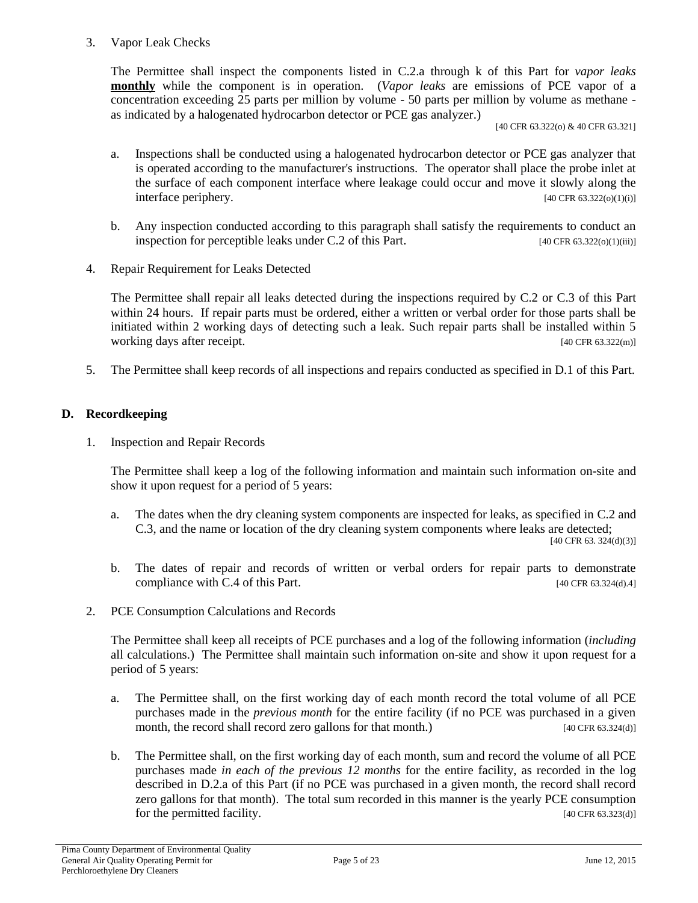#### 3. Vapor Leak Checks

The Permittee shall inspect the components listed in C.2.a through k of this Part for *vapor leaks* **monthly** while the component is in operation. (*Vapor leaks* are emissions of PCE vapor of a concentration exceeding 25 parts per million by volume - 50 parts per million by volume as methane as indicated by a halogenated hydrocarbon detector or PCE gas analyzer.)

[40 CFR 63.322(o) & 40 CFR 63.321]

- a. Inspections shall be conducted using a halogenated hydrocarbon detector or PCE gas analyzer that is operated according to the manufacturer's instructions. The operator shall place the probe inlet at the surface of each component interface where leakage could occur and move it slowly along the interface periphery. [40 CFR 63.322(o)(1)(i)]
- b. Any inspection conducted according to this paragraph shall satisfy the requirements to conduct an inspection for perceptible leaks under C.2 of this Part. [40 CFR 63.322(o)(1)(iii)]
- 4. Repair Requirement for Leaks Detected

The Permittee shall repair all leaks detected during the inspections required by C.2 or C.3 of this Part within 24 hours. If repair parts must be ordered, either a written or verbal order for those parts shall be initiated within 2 working days of detecting such a leak. Such repair parts shall be installed within 5 working days after receipt. [40 CFR 63.322(m)]

5. The Permittee shall keep records of all inspections and repairs conducted as specified in D.1 of this Part.

#### **D. Recordkeeping**

1. Inspection and Repair Records

The Permittee shall keep a log of the following information and maintain such information on-site and show it upon request for a period of 5 years:

- a. The dates when the dry cleaning system components are inspected for leaks, as specified in C.2 and C.3, and the name or location of the dry cleaning system components where leaks are detected; [40 CFR 63. 324(d)(3)]
- b. The dates of repair and records of written or verbal orders for repair parts to demonstrate compliance with C.4 of this Part. [40 CFR 63.324(d).4]
- 2. PCE Consumption Calculations and Records

The Permittee shall keep all receipts of PCE purchases and a log of the following information (*including* all calculations.) The Permittee shall maintain such information on-site and show it upon request for a period of 5 years:

- a. The Permittee shall, on the first working day of each month record the total volume of all PCE purchases made in the *previous month* for the entire facility (if no PCE was purchased in a given month, the record shall record zero gallons for that month.) [40 CFR 63.324(d)]
- b. The Permittee shall, on the first working day of each month, sum and record the volume of all PCE purchases made *in each of the previous 12 months* for the entire facility, as recorded in the log described in D.2.a of this Part (if no PCE was purchased in a given month, the record shall record zero gallons for that month). The total sum recorded in this manner is the yearly PCE consumption for the permitted facility. [40 CFR 63.323(d)]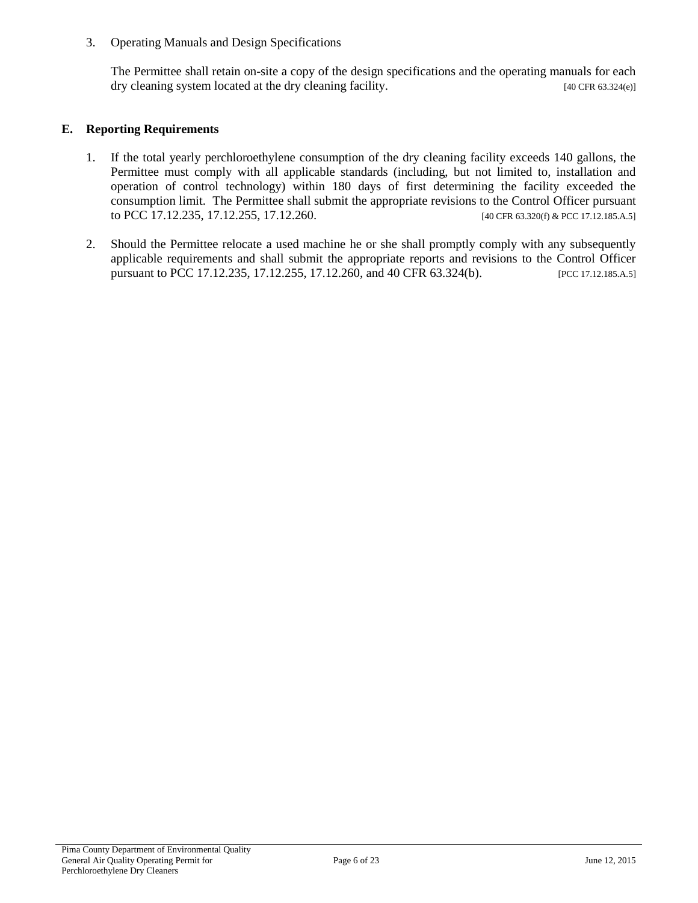3. Operating Manuals and Design Specifications

The Permittee shall retain on-site a copy of the design specifications and the operating manuals for each dry cleaning system located at the dry cleaning facility. [40 CFR 63.324(e)]

#### **E. Reporting Requirements**

- 1. If the total yearly perchloroethylene consumption of the dry cleaning facility exceeds 140 gallons, the Permittee must comply with all applicable standards (including, but not limited to, installation and operation of control technology) within 180 days of first determining the facility exceeded the consumption limit. The Permittee shall submit the appropriate revisions to the Control Officer pursuant to PCC 17.12.235, 17.12.255, 17.12.260. [40 CFR 63.320(f) & PCC 17.12.185.A.5]
- 2. Should the Permittee relocate a used machine he or she shall promptly comply with any subsequently applicable requirements and shall submit the appropriate reports and revisions to the Control Officer pursuant to PCC 17.12.235, 17.12.255, 17.12.260, and 40 CFR 63.324(b). [PCC 17.12.185.A.5]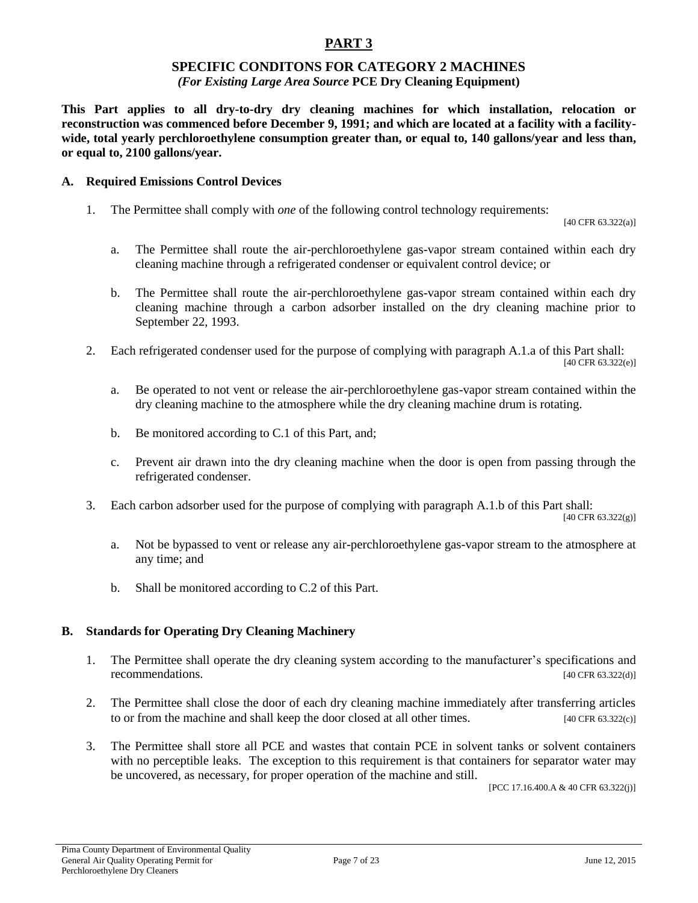### **SPECIFIC CONDITONS FOR CATEGORY 2 MACHINES**

#### *(For Existing Large Area Source* **PCE Dry Cleaning Equipment)**

**This Part applies to all dry-to-dry dry cleaning machines for which installation, relocation or reconstruction was commenced before December 9, 1991; and which are located at a facility with a facilitywide, total yearly perchloroethylene consumption greater than, or equal to, 140 gallons/year and less than, or equal to, 2100 gallons/year.**

#### **A. Required Emissions Control Devices**

1. The Permittee shall comply with *one* of the following control technology requirements:

[40 CFR 63.322(a)]

- a. The Permittee shall route the air-perchloroethylene gas-vapor stream contained within each dry cleaning machine through a refrigerated condenser or equivalent control device; or
- b. The Permittee shall route the air-perchloroethylene gas-vapor stream contained within each dry cleaning machine through a carbon adsorber installed on the dry cleaning machine prior to September 22, 1993.
- 2. Each refrigerated condenser used for the purpose of complying with paragraph A.1.a of this Part shall:

[40 CFR 63.322(e)]

- a. Be operated to not vent or release the air-perchloroethylene gas-vapor stream contained within the dry cleaning machine to the atmosphere while the dry cleaning machine drum is rotating.
- b. Be monitored according to C.1 of this Part, and;
- c. Prevent air drawn into the dry cleaning machine when the door is open from passing through the refrigerated condenser.
- 3. Each carbon adsorber used for the purpose of complying with paragraph A.1.b of this Part shall:

[40 CFR  $63.322(g)$ ]

- a. Not be bypassed to vent or release any air-perchloroethylene gas-vapor stream to the atmosphere at any time; and
- b. Shall be monitored according to C.2 of this Part.

#### **B. Standards for Operating Dry Cleaning Machinery**

- 1. The Permittee shall operate the dry cleaning system according to the manufacturer's specifications and recommendations. [40 CFR 63.322(d)]
- 2. The Permittee shall close the door of each dry cleaning machine immediately after transferring articles to or from the machine and shall keep the door closed at all other times.  $[40 \text{ CFR } 63.322(c)]$
- 3. The Permittee shall store all PCE and wastes that contain PCE in solvent tanks or solvent containers with no perceptible leaks. The exception to this requirement is that containers for separator water may be uncovered, as necessary, for proper operation of the machine and still.

[PCC 17.16.400.A & 40 CFR 63.322(j)]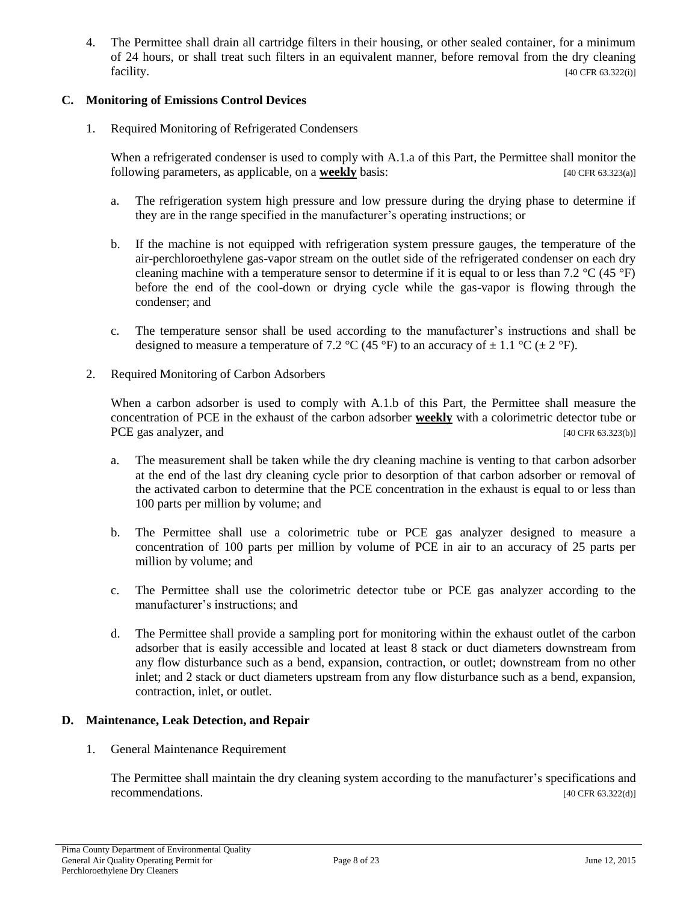4. The Permittee shall drain all cartridge filters in their housing, or other sealed container, for a minimum of 24 hours, or shall treat such filters in an equivalent manner, before removal from the dry cleaning  $[40 \text{ CFR } 63.322(i)]$ 

#### **C. Monitoring of Emissions Control Devices**

1. Required Monitoring of Refrigerated Condensers

When a refrigerated condenser is used to comply with A.1.a of this Part, the Permittee shall monitor the following parameters, as applicable, on a **weekly** basis: [40 CFR 63.323(a)]

- a. The refrigeration system high pressure and low pressure during the drying phase to determine if they are in the range specified in the manufacturer's operating instructions; or
- b. If the machine is not equipped with refrigeration system pressure gauges, the temperature of the air-perchloroethylene gas-vapor stream on the outlet side of the refrigerated condenser on each dry cleaning machine with a temperature sensor to determine if it is equal to or less than 7.2  $\rm{^{\circ}C}$  (45  $\rm{^{\circ}F}$ ) before the end of the cool-down or drying cycle while the gas-vapor is flowing through the condenser; and
- c. The temperature sensor shall be used according to the manufacturer's instructions and shall be designed to measure a temperature of 7.2 °C (45 °F) to an accuracy of  $\pm$  1.1 °C ( $\pm$  2 °F).
- 2. Required Monitoring of Carbon Adsorbers

When a carbon adsorber is used to comply with A.1.b of this Part, the Permittee shall measure the concentration of PCE in the exhaust of the carbon adsorber **weekly** with a colorimetric detector tube or PCE gas analyzer, and [40 CFR 63.323(b)]

- a. The measurement shall be taken while the dry cleaning machine is venting to that carbon adsorber at the end of the last dry cleaning cycle prior to desorption of that carbon adsorber or removal of the activated carbon to determine that the PCE concentration in the exhaust is equal to or less than 100 parts per million by volume; and
- b. The Permittee shall use a colorimetric tube or PCE gas analyzer designed to measure a concentration of 100 parts per million by volume of PCE in air to an accuracy of 25 parts per million by volume; and
- c. The Permittee shall use the colorimetric detector tube or PCE gas analyzer according to the manufacturer's instructions; and
- d. The Permittee shall provide a sampling port for monitoring within the exhaust outlet of the carbon adsorber that is easily accessible and located at least 8 stack or duct diameters downstream from any flow disturbance such as a bend, expansion, contraction, or outlet; downstream from no other inlet; and 2 stack or duct diameters upstream from any flow disturbance such as a bend, expansion, contraction, inlet, or outlet.

#### **D. Maintenance, Leak Detection, and Repair**

1. General Maintenance Requirement

The Permittee shall maintain the dry cleaning system according to the manufacturer's specifications and recommendations. [40 CFR 63.322(d)]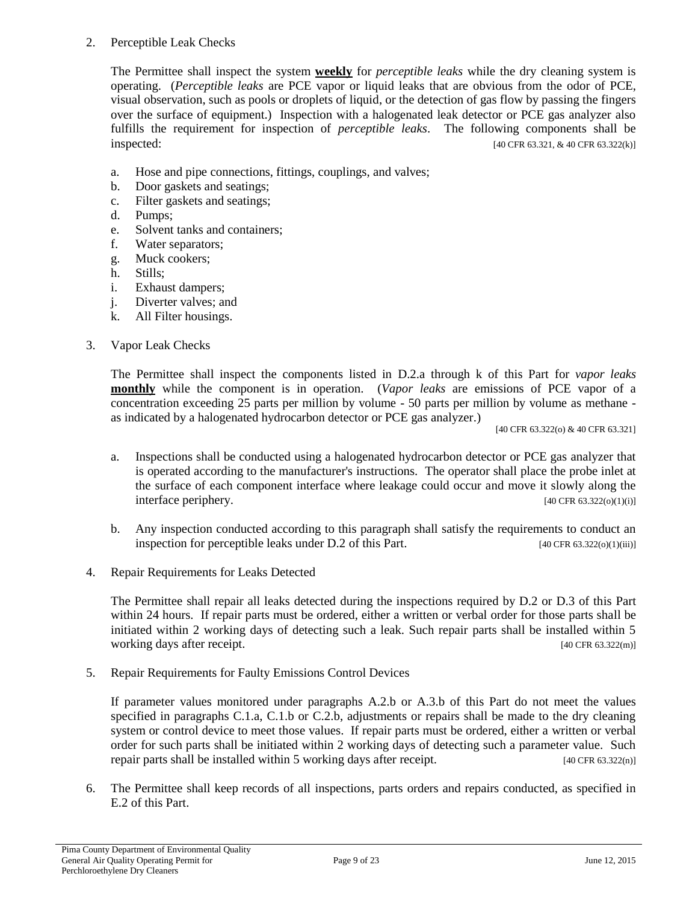#### 2. Perceptible Leak Checks

The Permittee shall inspect the system **weekly** for *perceptible leaks* while the dry cleaning system is operating. (*Perceptible leaks* are PCE vapor or liquid leaks that are obvious from the odor of PCE, visual observation, such as pools or droplets of liquid, or the detection of gas flow by passing the fingers over the surface of equipment.) Inspection with a halogenated leak detector or PCE gas analyzer also fulfills the requirement for inspection of *perceptible leaks*. The following components shall be inspected: [40 CFR 63.321, & 40 CFR 63.322(k)]

- a. Hose and pipe connections, fittings, couplings, and valves;
- b. Door gaskets and seatings;
- c. Filter gaskets and seatings;
- d. Pumps;
- e. Solvent tanks and containers;
- f. Water separators;
- g. Muck cookers;
- h. Stills;
- i. Exhaust dampers;
- j. Diverter valves; and
- k. All Filter housings.

#### 3. Vapor Leak Checks

The Permittee shall inspect the components listed in D.2.a through k of this Part for *vapor leaks* **monthly** while the component is in operation. (*Vapor leaks* are emissions of PCE vapor of a concentration exceeding 25 parts per million by volume - 50 parts per million by volume as methane as indicated by a halogenated hydrocarbon detector or PCE gas analyzer.)

[40 CFR 63.322(o) & 40 CFR 63.321]

- a. Inspections shall be conducted using a halogenated hydrocarbon detector or PCE gas analyzer that is operated according to the manufacturer's instructions. The operator shall place the probe inlet at the surface of each component interface where leakage could occur and move it slowly along the interface periphery. [40 CFR 63.322(o)(1)(i)]
- b. Any inspection conducted according to this paragraph shall satisfy the requirements to conduct an inspection for perceptible leaks under D.2 of this Part. [40 CFR 63.322(o)(1)(iii)]
- 4. Repair Requirements for Leaks Detected

The Permittee shall repair all leaks detected during the inspections required by D.2 or D.3 of this Part within 24 hours. If repair parts must be ordered, either a written or verbal order for those parts shall be initiated within 2 working days of detecting such a leak. Such repair parts shall be installed within 5 working days after receipt. [40 CFR 63.322(m)]

5. Repair Requirements for Faulty Emissions Control Devices

If parameter values monitored under paragraphs A.2.b or A.3.b of this Part do not meet the values specified in paragraphs C.1.a, C.1.b or C.2.b, adjustments or repairs shall be made to the dry cleaning system or control device to meet those values. If repair parts must be ordered, either a written or verbal order for such parts shall be initiated within 2 working days of detecting such a parameter value. Such repair parts shall be installed within 5 working days after receipt.  $[40 \text{ CFR } 63.322(n)]$ 

6. The Permittee shall keep records of all inspections, parts orders and repairs conducted, as specified in E.2 of this Part.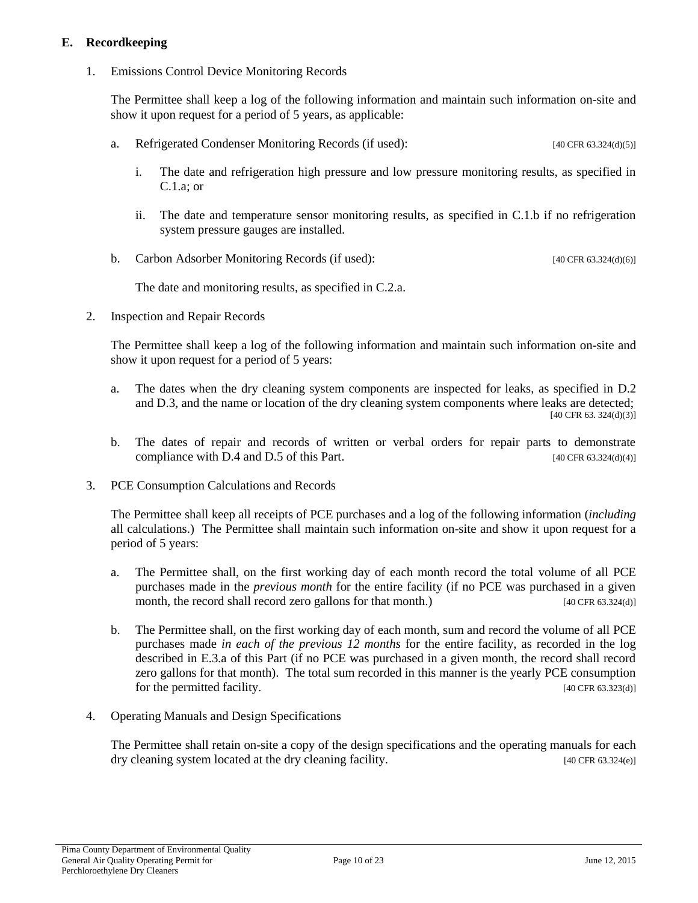#### **E. Recordkeeping**

1. Emissions Control Device Monitoring Records

The Permittee shall keep a log of the following information and maintain such information on-site and show it upon request for a period of 5 years, as applicable:

- a. Refrigerated Condenser Monitoring Records (if used): [40 CFR 63.324(d)(5)]
	- i. The date and refrigeration high pressure and low pressure monitoring results, as specified in C.1.a; or
	- ii. The date and temperature sensor monitoring results, as specified in C.1.b if no refrigeration system pressure gauges are installed.
- b. Carbon Adsorber Monitoring Records (if used): [40 CFR 63.324(d)(6)]

The date and monitoring results, as specified in C.2.a.

2. Inspection and Repair Records

The Permittee shall keep a log of the following information and maintain such information on-site and show it upon request for a period of 5 years:

- a. The dates when the dry cleaning system components are inspected for leaks, as specified in D.2 and D.3, and the name or location of the dry cleaning system components where leaks are detected; [40 CFR 63. 324(d)(3)]
- b. The dates of repair and records of written or verbal orders for repair parts to demonstrate compliance with D.4 and D.5 of this Part.  $[40 \text{ CFR } 63.324 \text{ (d)}(4)]$
- 3. PCE Consumption Calculations and Records

The Permittee shall keep all receipts of PCE purchases and a log of the following information (*including* all calculations.) The Permittee shall maintain such information on-site and show it upon request for a period of 5 years:

- a. The Permittee shall, on the first working day of each month record the total volume of all PCE purchases made in the *previous month* for the entire facility (if no PCE was purchased in a given month, the record shall record zero gallons for that month.) [40 CFR 63.324(d)]
- b. The Permittee shall, on the first working day of each month, sum and record the volume of all PCE purchases made *in each of the previous 12 months* for the entire facility, as recorded in the log described in E.3.a of this Part (if no PCE was purchased in a given month, the record shall record zero gallons for that month). The total sum recorded in this manner is the yearly PCE consumption for the permitted facility. [40 CFR 63.323(d)]
- 4. Operating Manuals and Design Specifications

The Permittee shall retain on-site a copy of the design specifications and the operating manuals for each dry cleaning system located at the dry cleaning facility. [40 CFR 63.324(e)]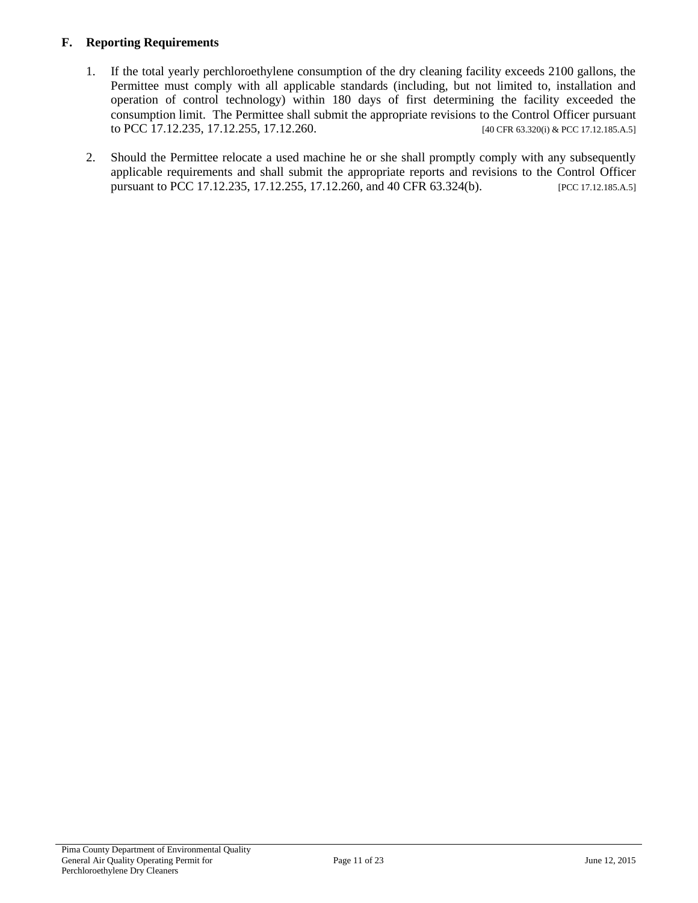#### **F. Reporting Requirements**

- 1. If the total yearly perchloroethylene consumption of the dry cleaning facility exceeds 2100 gallons, the Permittee must comply with all applicable standards (including, but not limited to, installation and operation of control technology) within 180 days of first determining the facility exceeded the consumption limit. The Permittee shall submit the appropriate revisions to the Control Officer pursuant to PCC 17.12.235, 17.12.255, 17.12.260. [40 CFR 63.320(i) & PCC 17.12.185.A.5]
- 2. Should the Permittee relocate a used machine he or she shall promptly comply with any subsequently applicable requirements and shall submit the appropriate reports and revisions to the Control Officer pursuant to PCC 17.12.235, 17.12.255, 17.12.260, and 40 CFR 63.324(b). [PCC 17.12.185.A.5]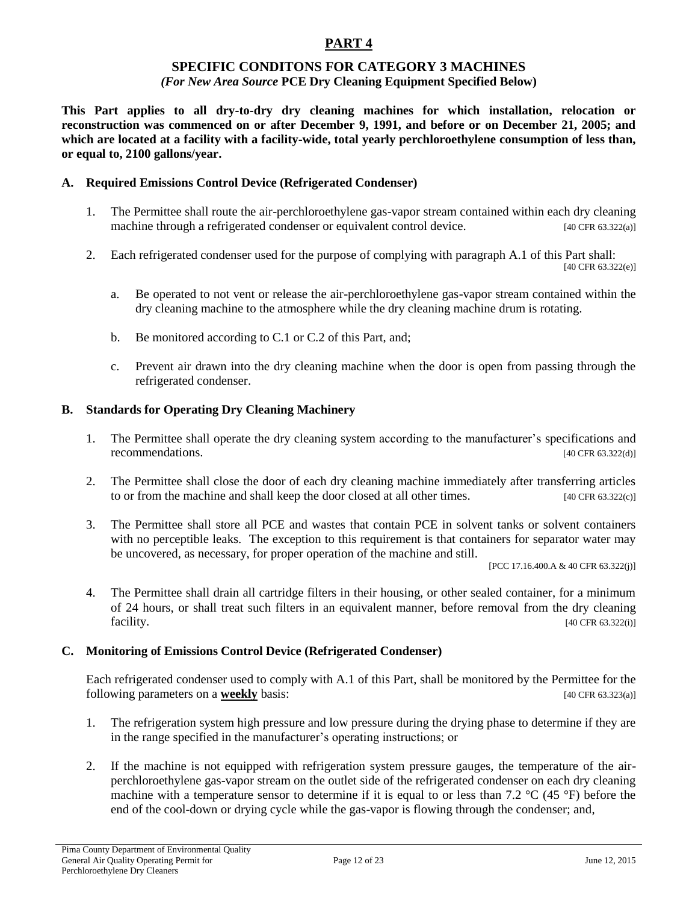#### **SPECIFIC CONDITONS FOR CATEGORY 3 MACHINES** *(For New Area Source* **PCE Dry Cleaning Equipment Specified Below)**

**This Part applies to all dry-to-dry dry cleaning machines for which installation, relocation or reconstruction was commenced on or after December 9, 1991, and before or on December 21, 2005; and which are located at a facility with a facility-wide, total yearly perchloroethylene consumption of less than, or equal to, 2100 gallons/year.**

#### **A. Required Emissions Control Device (Refrigerated Condenser)**

- 1. The Permittee shall route the air-perchloroethylene gas-vapor stream contained within each dry cleaning machine through a refrigerated condenser or equivalent control device. [40 CFR 63.322(a)]
- 2. Each refrigerated condenser used for the purpose of complying with paragraph A.1 of this Part shall: [40 CFR 63.322(e)]
	- a. Be operated to not vent or release the air-perchloroethylene gas-vapor stream contained within the dry cleaning machine to the atmosphere while the dry cleaning machine drum is rotating.
	- b. Be monitored according to C.1 or C.2 of this Part, and;
	- c. Prevent air drawn into the dry cleaning machine when the door is open from passing through the refrigerated condenser.

#### **B. Standards for Operating Dry Cleaning Machinery**

- 1. The Permittee shall operate the dry cleaning system according to the manufacturer's specifications and recommendations. [40 CFR 63.322(d)]
- 2. The Permittee shall close the door of each dry cleaning machine immediately after transferring articles to or from the machine and shall keep the door closed at all other times. [40 CFR 63.322(c)]
- 3. The Permittee shall store all PCE and wastes that contain PCE in solvent tanks or solvent containers with no perceptible leaks. The exception to this requirement is that containers for separator water may be uncovered, as necessary, for proper operation of the machine and still.

[PCC 17.16.400.A & 40 CFR 63.322(j)]

4. The Permittee shall drain all cartridge filters in their housing, or other sealed container, for a minimum of 24 hours, or shall treat such filters in an equivalent manner, before removal from the dry cleaning facility. [40 CFR 63.322(i)]

#### **C. Monitoring of Emissions Control Device (Refrigerated Condenser)**

Each refrigerated condenser used to comply with A.1 of this Part, shall be monitored by the Permittee for the following parameters on a **weekly** basis: [40 CFR 63.323(a)]

- 1. The refrigeration system high pressure and low pressure during the drying phase to determine if they are in the range specified in the manufacturer's operating instructions; or
- 2. If the machine is not equipped with refrigeration system pressure gauges, the temperature of the airperchloroethylene gas-vapor stream on the outlet side of the refrigerated condenser on each dry cleaning machine with a temperature sensor to determine if it is equal to or less than 7.2  $\rm{^{\circ}C}$  (45  $\rm{^{\circ}F}$ ) before the end of the cool-down or drying cycle while the gas-vapor is flowing through the condenser; and,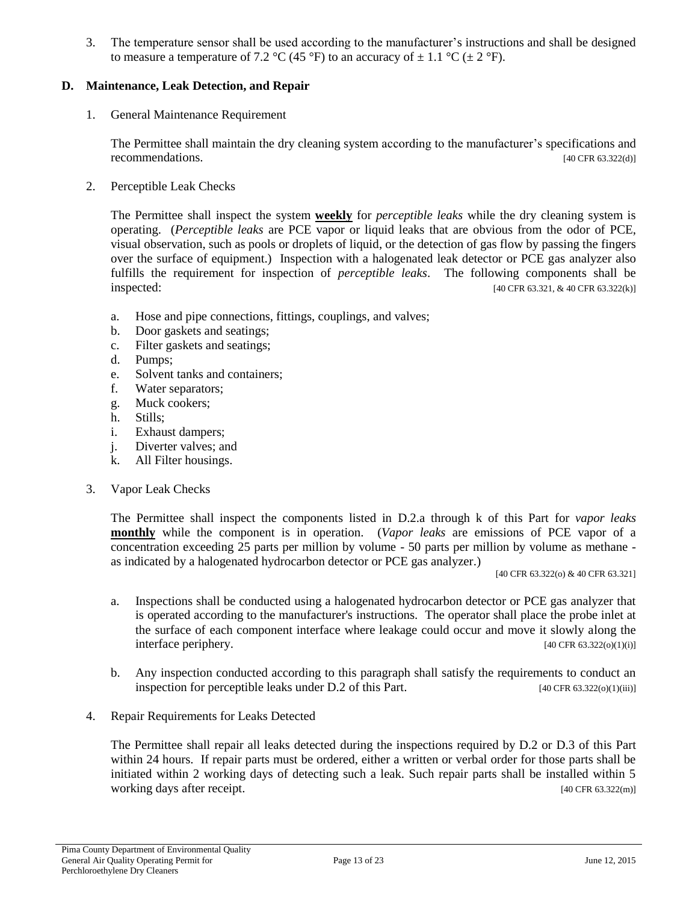3. The temperature sensor shall be used according to the manufacturer's instructions and shall be designed to measure a temperature of 7.2 °C (45 °F) to an accuracy of  $\pm$  1.1 °C ( $\pm$  2 °F).

#### **D. Maintenance, Leak Detection, and Repair**

1. General Maintenance Requirement

The Permittee shall maintain the dry cleaning system according to the manufacturer's specifications and recommendations. [40 CFR 63.322(d)]

2. Perceptible Leak Checks

The Permittee shall inspect the system **weekly** for *perceptible leaks* while the dry cleaning system is operating. (*Perceptible leaks* are PCE vapor or liquid leaks that are obvious from the odor of PCE, visual observation, such as pools or droplets of liquid, or the detection of gas flow by passing the fingers over the surface of equipment.) Inspection with a halogenated leak detector or PCE gas analyzer also fulfills the requirement for inspection of *perceptible leaks*. The following components shall be inspected: [40 CFR 63.321, & 40 CFR 63.322(k)]

- a. Hose and pipe connections, fittings, couplings, and valves;
- b. Door gaskets and seatings;
- c. Filter gaskets and seatings;
- d. Pumps;
- e. Solvent tanks and containers;
- f. Water separators;
- g. Muck cookers;
- h. Stills;
- i. Exhaust dampers;
- j. Diverter valves; and
- k. All Filter housings.
- 3. Vapor Leak Checks

The Permittee shall inspect the components listed in D.2.a through k of this Part for *vapor leaks* **monthly** while the component is in operation. (*Vapor leaks* are emissions of PCE vapor of a concentration exceeding 25 parts per million by volume - 50 parts per million by volume as methane as indicated by a halogenated hydrocarbon detector or PCE gas analyzer.)

[40 CFR 63.322(o) & 40 CFR 63.321]

- a. Inspections shall be conducted using a halogenated hydrocarbon detector or PCE gas analyzer that is operated according to the manufacturer's instructions. The operator shall place the probe inlet at the surface of each component interface where leakage could occur and move it slowly along the interface periphery. [40 CFR 63.322(o)(1)(i)]
- b. Any inspection conducted according to this paragraph shall satisfy the requirements to conduct an inspection for perceptible leaks under D.2 of this Part. [40 CFR 63.322(o)(1)(iii)]
- 4. Repair Requirements for Leaks Detected

The Permittee shall repair all leaks detected during the inspections required by D.2 or D.3 of this Part within 24 hours. If repair parts must be ordered, either a written or verbal order for those parts shall be initiated within 2 working days of detecting such a leak. Such repair parts shall be installed within 5 working days after receipt. [40 CFR 63.322(m)]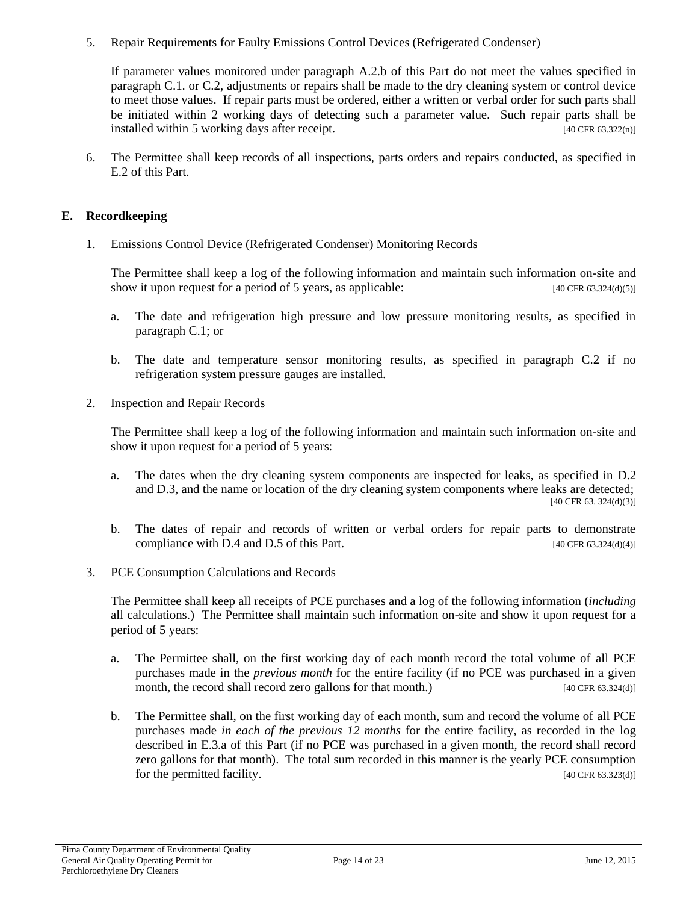5. Repair Requirements for Faulty Emissions Control Devices (Refrigerated Condenser)

If parameter values monitored under paragraph A.2.b of this Part do not meet the values specified in paragraph C.1. or C.2, adjustments or repairs shall be made to the dry cleaning system or control device to meet those values. If repair parts must be ordered, either a written or verbal order for such parts shall be initiated within 2 working days of detecting such a parameter value. Such repair parts shall be installed within 5 working days after receipt. [40 CFR 63.322(n)]

6. The Permittee shall keep records of all inspections, parts orders and repairs conducted, as specified in E.2 of this Part.

#### **E. Recordkeeping**

1. Emissions Control Device (Refrigerated Condenser) Monitoring Records

The Permittee shall keep a log of the following information and maintain such information on-site and show it upon request for a period of 5 years, as applicable:  $[40 \text{ CFR } 63.324 \text{ (d)(5)}]$ 

- a. The date and refrigeration high pressure and low pressure monitoring results, as specified in paragraph C.1; or
- b. The date and temperature sensor monitoring results, as specified in paragraph C.2 if no refrigeration system pressure gauges are installed.
- 2. Inspection and Repair Records

The Permittee shall keep a log of the following information and maintain such information on-site and show it upon request for a period of 5 years:

- a. The dates when the dry cleaning system components are inspected for leaks, as specified in D.2 and D.3, and the name or location of the dry cleaning system components where leaks are detected; [40 CFR 63. 324(d)(3)]
- b. The dates of repair and records of written or verbal orders for repair parts to demonstrate compliance with D.4 and D.5 of this Part.  $[40 \text{ CFR } 63.324 \text{ (d)}(4)]$
- 3. PCE Consumption Calculations and Records

The Permittee shall keep all receipts of PCE purchases and a log of the following information (*including* all calculations.) The Permittee shall maintain such information on-site and show it upon request for a period of 5 years:

- a. The Permittee shall, on the first working day of each month record the total volume of all PCE purchases made in the *previous month* for the entire facility (if no PCE was purchased in a given month, the record shall record zero gallons for that month.) [40 CFR 63.324(d)]
- b. The Permittee shall, on the first working day of each month, sum and record the volume of all PCE purchases made *in each of the previous 12 months* for the entire facility, as recorded in the log described in E.3.a of this Part (if no PCE was purchased in a given month, the record shall record zero gallons for that month). The total sum recorded in this manner is the yearly PCE consumption for the permitted facility. [40 CFR 63.323(d)]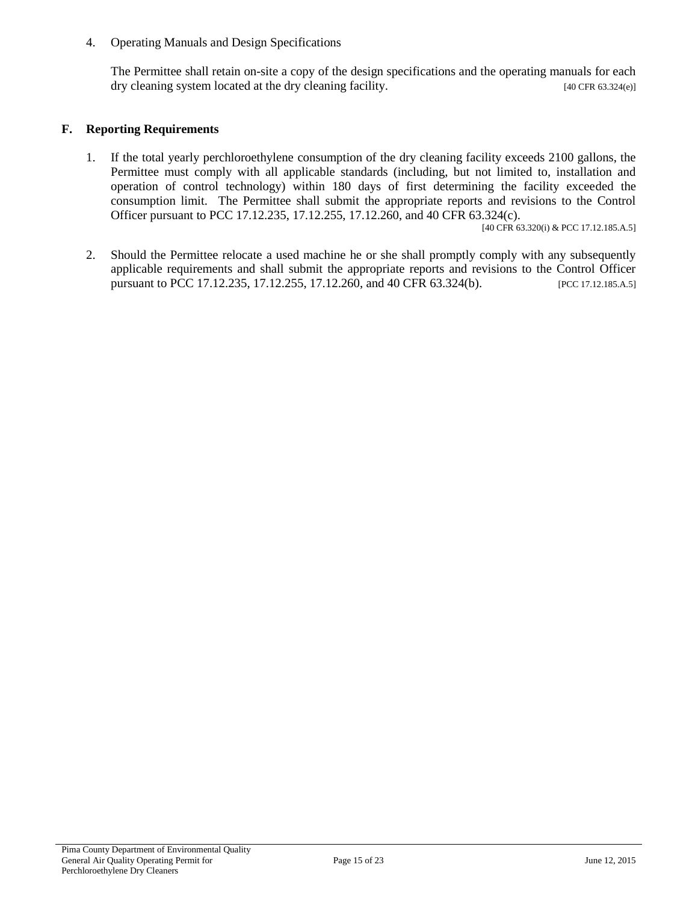4. Operating Manuals and Design Specifications

The Permittee shall retain on-site a copy of the design specifications and the operating manuals for each dry cleaning system located at the dry cleaning facility. [40 CFR 63.324(e)]

#### **F. Reporting Requirements**

1. If the total yearly perchloroethylene consumption of the dry cleaning facility exceeds 2100 gallons, the Permittee must comply with all applicable standards (including, but not limited to, installation and operation of control technology) within 180 days of first determining the facility exceeded the consumption limit. The Permittee shall submit the appropriate reports and revisions to the Control Officer pursuant to PCC 17.12.235, 17.12.255, 17.12.260, and 40 CFR 63.324(c).

[40 CFR 63.320(i) & PCC 17.12.185.A.5]

2. Should the Permittee relocate a used machine he or she shall promptly comply with any subsequently applicable requirements and shall submit the appropriate reports and revisions to the Control Officer pursuant to PCC 17.12.235, 17.12.255, 17.12.260, and 40 CFR 63.324(b). [PCC 17.12.185.A.5]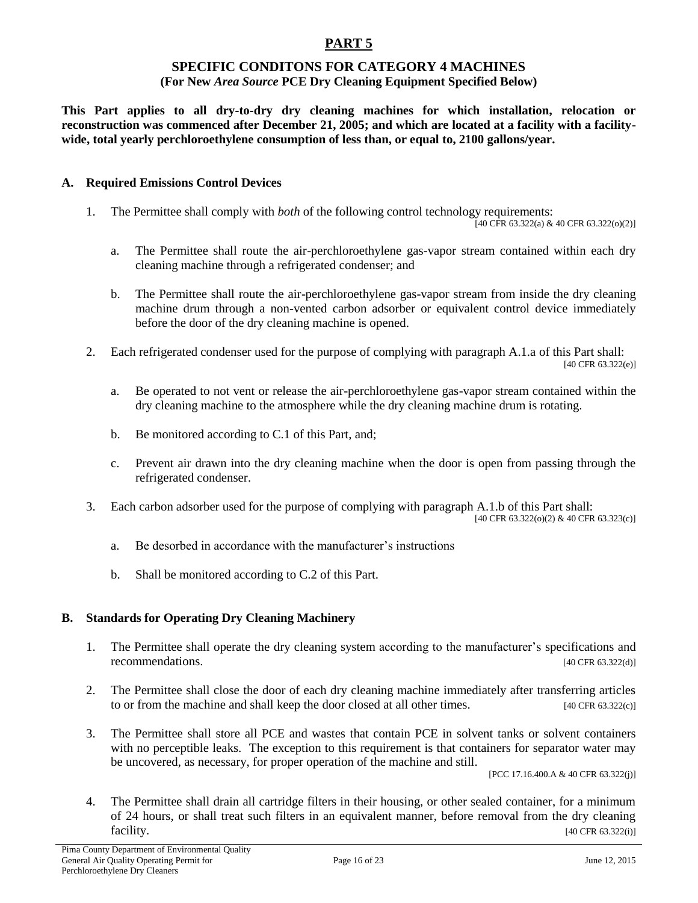#### **SPECIFIC CONDITONS FOR CATEGORY 4 MACHINES (For New** *Area Source* **PCE Dry Cleaning Equipment Specified Below)**

**This Part applies to all dry-to-dry dry cleaning machines for which installation, relocation or reconstruction was commenced after December 21, 2005; and which are located at a facility with a facilitywide, total yearly perchloroethylene consumption of less than, or equal to, 2100 gallons/year.**

#### **A. Required Emissions Control Devices**

1. The Permittee shall comply with *both* of the following control technology requirements:

[40 CFR 63.322(a) & 40 CFR 63.322(o)(2)]

- a. The Permittee shall route the air-perchloroethylene gas-vapor stream contained within each dry cleaning machine through a refrigerated condenser; and
- b. The Permittee shall route the air-perchloroethylene gas-vapor stream from inside the dry cleaning machine drum through a non-vented carbon adsorber or equivalent control device immediately before the door of the dry cleaning machine is opened.
- 2. Each refrigerated condenser used for the purpose of complying with paragraph A.1.a of this Part shall: [40 CFR 63.322(e)]
	- a. Be operated to not vent or release the air-perchloroethylene gas-vapor stream contained within the dry cleaning machine to the atmosphere while the dry cleaning machine drum is rotating.
	- b. Be monitored according to C.1 of this Part, and;
	- c. Prevent air drawn into the dry cleaning machine when the door is open from passing through the refrigerated condenser.
- 3. Each carbon adsorber used for the purpose of complying with paragraph A.1.b of this Part shall: [40 CFR 63.322(o)(2) & 40 CFR 63.323(c)]
	- a. Be desorbed in accordance with the manufacturer's instructions
	- b. Shall be monitored according to C.2 of this Part.

#### **B. Standards for Operating Dry Cleaning Machinery**

- 1. The Permittee shall operate the dry cleaning system according to the manufacturer's specifications and recommendations. [40 CFR 63.322(d)]
- 2. The Permittee shall close the door of each dry cleaning machine immediately after transferring articles to or from the machine and shall keep the door closed at all other times. [40 CFR 63.322(c)]
- 3. The Permittee shall store all PCE and wastes that contain PCE in solvent tanks or solvent containers with no perceptible leaks. The exception to this requirement is that containers for separator water may be uncovered, as necessary, for proper operation of the machine and still.

[PCC 17.16.400.A & 40 CFR 63.322(j)]

4. The Permittee shall drain all cartridge filters in their housing, or other sealed container, for a minimum of 24 hours, or shall treat such filters in an equivalent manner, before removal from the dry cleaning **facility.** [40 CFR 63.322(i)]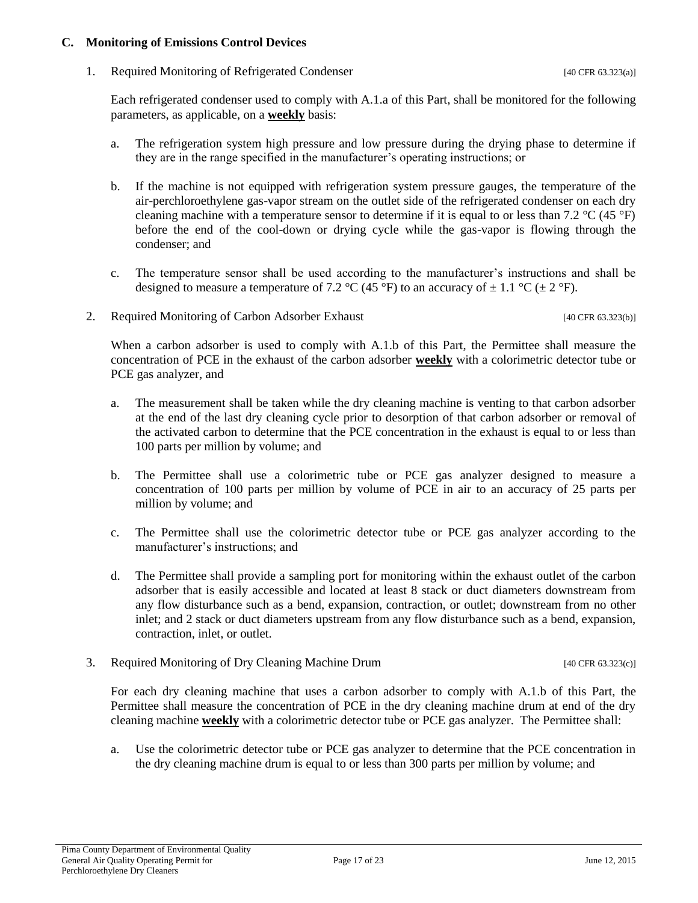#### **C. Monitoring of Emissions Control Devices**

1. Required Monitoring of Refrigerated Condenser [40 CFR 63.323(a)]

Each refrigerated condenser used to comply with A.1.a of this Part, shall be monitored for the following parameters, as applicable, on a **weekly** basis:

- a. The refrigeration system high pressure and low pressure during the drying phase to determine if they are in the range specified in the manufacturer's operating instructions; or
- b. If the machine is not equipped with refrigeration system pressure gauges, the temperature of the air-perchloroethylene gas-vapor stream on the outlet side of the refrigerated condenser on each dry cleaning machine with a temperature sensor to determine if it is equal to or less than 7.2  $\rm{^{\circ}C}$  (45  $\rm{^{\circ}F}$ ) before the end of the cool-down or drying cycle while the gas-vapor is flowing through the condenser; and
- c. The temperature sensor shall be used according to the manufacturer's instructions and shall be designed to measure a temperature of 7.2 °C (45 °F) to an accuracy of  $\pm$  1.1 °C ( $\pm$  2 °F).
- 2. Required Monitoring of Carbon Adsorber Exhaust [40 CFR 63.323(b)]

When a carbon adsorber is used to comply with A.1.b of this Part, the Permittee shall measure the concentration of PCE in the exhaust of the carbon adsorber **weekly** with a colorimetric detector tube or PCE gas analyzer, and

- a. The measurement shall be taken while the dry cleaning machine is venting to that carbon adsorber at the end of the last dry cleaning cycle prior to desorption of that carbon adsorber or removal of the activated carbon to determine that the PCE concentration in the exhaust is equal to or less than 100 parts per million by volume; and
- b. The Permittee shall use a colorimetric tube or PCE gas analyzer designed to measure a concentration of 100 parts per million by volume of PCE in air to an accuracy of 25 parts per million by volume; and
- c. The Permittee shall use the colorimetric detector tube or PCE gas analyzer according to the manufacturer's instructions; and
- d. The Permittee shall provide a sampling port for monitoring within the exhaust outlet of the carbon adsorber that is easily accessible and located at least 8 stack or duct diameters downstream from any flow disturbance such as a bend, expansion, contraction, or outlet; downstream from no other inlet; and 2 stack or duct diameters upstream from any flow disturbance such as a bend, expansion, contraction, inlet, or outlet.
- 3. Required Monitoring of Dry Cleaning Machine Drum [40 CFR 63.323(c)]

For each dry cleaning machine that uses a carbon adsorber to comply with A.1.b of this Part, the Permittee shall measure the concentration of PCE in the dry cleaning machine drum at end of the dry cleaning machine **weekly** with a colorimetric detector tube or PCE gas analyzer. The Permittee shall:

a. Use the colorimetric detector tube or PCE gas analyzer to determine that the PCE concentration in the dry cleaning machine drum is equal to or less than 300 parts per million by volume; and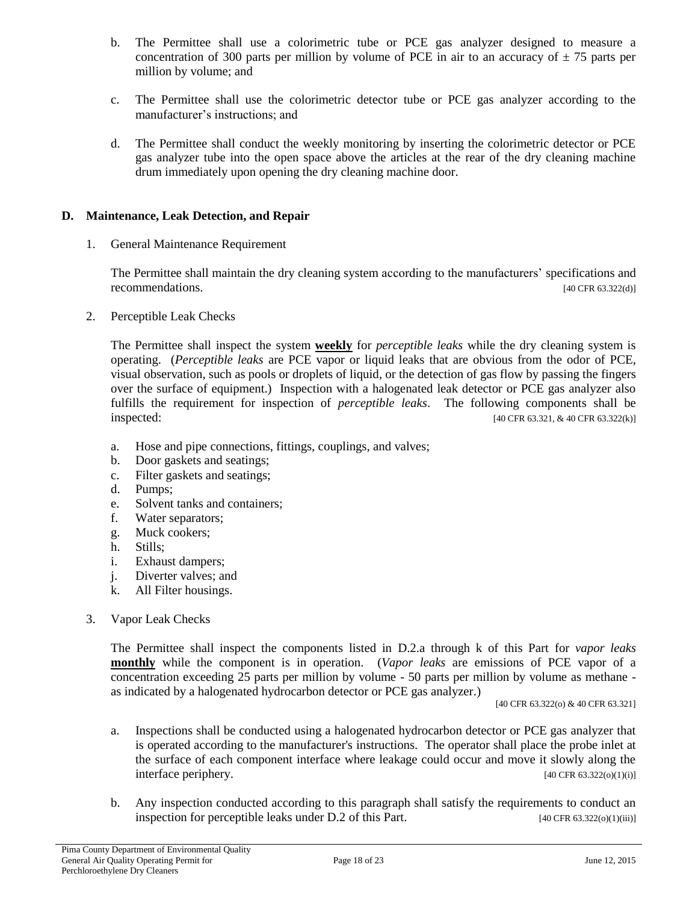- b. The Permittee shall use a colorimetric tube or PCE gas analyzer designed to measure a concentration of 300 parts per million by volume of PCE in air to an accuracy of  $\pm$  75 parts per million by volume; and
- c. The Permittee shall use the colorimetric detector tube or PCE gas analyzer according to the manufacturer's instructions; and
- d. The Permittee shall conduct the weekly monitoring by inserting the colorimetric detector or PCE gas analyzer tube into the open space above the articles at the rear of the dry cleaning machine drum immediately upon opening the dry cleaning machine door.

#### **D. Maintenance, Leak Detection, and Repair**

1. General Maintenance Requirement

The Permittee shall maintain the dry cleaning system according to the manufacturers' specifications and recommendations.  $[40 \text{ CFR } 63.322(d)]$ 

2. Perceptible Leak Checks

The Permittee shall inspect the system **weekly** for *perceptible leaks* while the dry cleaning system is operating. (*Perceptible leaks* are PCE vapor or liquid leaks that are obvious from the odor of PCE, visual observation, such as pools or droplets of liquid, or the detection of gas flow by passing the fingers over the surface of equipment.) Inspection with a halogenated leak detector or PCE gas analyzer also fulfills the requirement for inspection of *perceptible leaks*. The following components shall be inspected: [40 CFR 63.321, & 40 CFR 63.322(k)]

- a. Hose and pipe connections, fittings, couplings, and valves;
- b. Door gaskets and seatings;
- c. Filter gaskets and seatings;
- d. Pumps;
- e. Solvent tanks and containers;
- f. Water separators;
- g. Muck cookers;
- h. Stills;
- i. Exhaust dampers;
- j. Diverter valves; and
- k. All Filter housings.
- 3. Vapor Leak Checks

The Permittee shall inspect the components listed in D.2.a through k of this Part for *vapor leaks* **monthly** while the component is in operation. (*Vapor leaks* are emissions of PCE vapor of a concentration exceeding 25 parts per million by volume - 50 parts per million by volume as methane as indicated by a halogenated hydrocarbon detector or PCE gas analyzer.)

[40 CFR 63.322(o) & 40 CFR 63.321]

- a. Inspections shall be conducted using a halogenated hydrocarbon detector or PCE gas analyzer that is operated according to the manufacturer's instructions. The operator shall place the probe inlet at the surface of each component interface where leakage could occur and move it slowly along the  $\text{interface periphery.}$  [40 CFR 63.322(o)(1)(i)]
- b. Any inspection conducted according to this paragraph shall satisfy the requirements to conduct an inspection for perceptible leaks under D.2 of this Part. [40 CFR 63.322(o)(1)(iii)]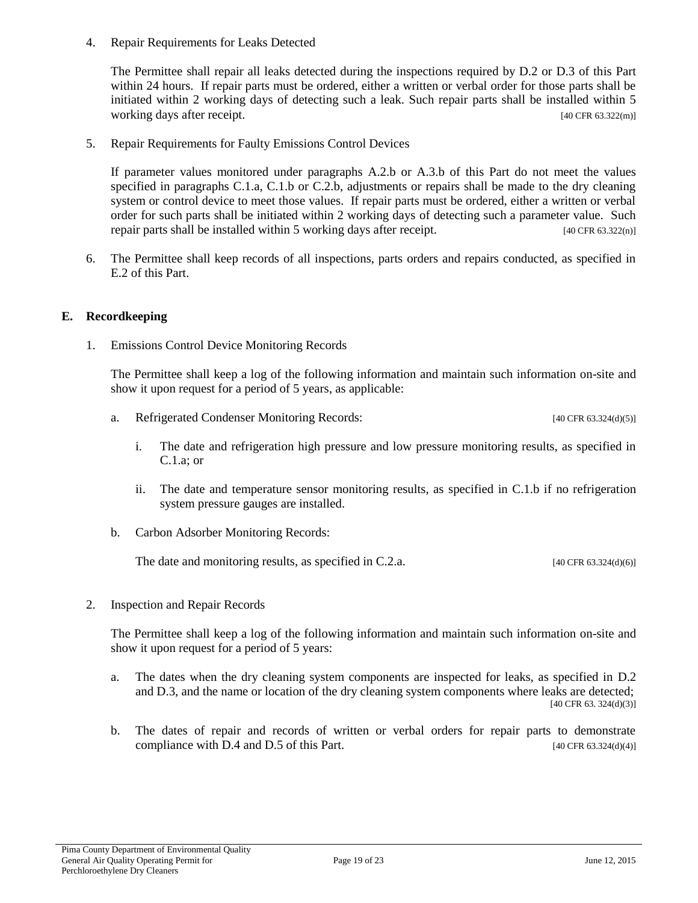4. Repair Requirements for Leaks Detected

The Permittee shall repair all leaks detected during the inspections required by D.2 or D.3 of this Part within 24 hours. If repair parts must be ordered, either a written or verbal order for those parts shall be initiated within 2 working days of detecting such a leak. Such repair parts shall be installed within 5 working days after receipt. [40 CFR 63.322(m)]

5. Repair Requirements for Faulty Emissions Control Devices

If parameter values monitored under paragraphs A.2.b or A.3.b of this Part do not meet the values specified in paragraphs C.1.a, C.1.b or C.2.b, adjustments or repairs shall be made to the dry cleaning system or control device to meet those values. If repair parts must be ordered, either a written or verbal order for such parts shall be initiated within 2 working days of detecting such a parameter value. Such repair parts shall be installed within 5 working days after receipt. [40 CFR 63.322(n)]

6. The Permittee shall keep records of all inspections, parts orders and repairs conducted, as specified in E.2 of this Part.

#### **E. Recordkeeping**

1. Emissions Control Device Monitoring Records

The Permittee shall keep a log of the following information and maintain such information on-site and show it upon request for a period of 5 years, as applicable:

- a. Refrigerated Condenser Monitoring Records: [40 CFR 63.324(d)(5)]
	- i. The date and refrigeration high pressure and low pressure monitoring results, as specified in C.1.a; or
	- ii. The date and temperature sensor monitoring results, as specified in C.1.b if no refrigeration system pressure gauges are installed.
- b. Carbon Adsorber Monitoring Records:

The date and monitoring results, as specified in C.2.a.  $[40 \text{ CFR } 63.324 \text{ (d)}(6)]$ 

2. Inspection and Repair Records

The Permittee shall keep a log of the following information and maintain such information on-site and show it upon request for a period of 5 years:

- a. The dates when the dry cleaning system components are inspected for leaks, as specified in D.2 and D.3, and the name or location of the dry cleaning system components where leaks are detected; [40 CFR 63. 324(d)(3)]
- b. The dates of repair and records of written or verbal orders for repair parts to demonstrate compliance with D.4 and D.5 of this Part.  $[40 \text{ CFR } 63.324 \text{ (d)}(4)]$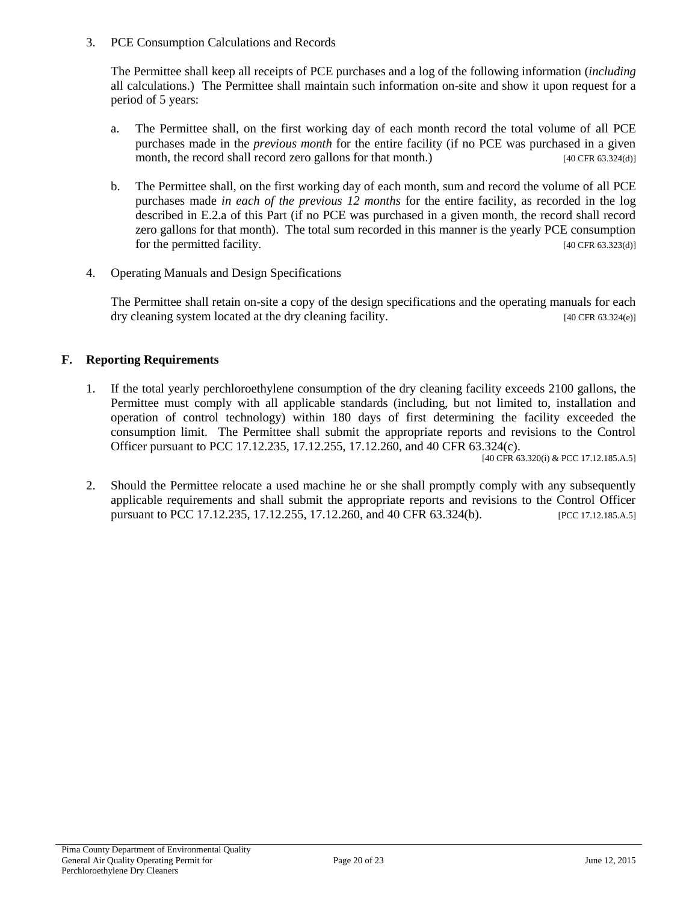3. PCE Consumption Calculations and Records

The Permittee shall keep all receipts of PCE purchases and a log of the following information (*including* all calculations.) The Permittee shall maintain such information on-site and show it upon request for a period of 5 years:

- a. The Permittee shall, on the first working day of each month record the total volume of all PCE purchases made in the *previous month* for the entire facility (if no PCE was purchased in a given month, the record shall record zero gallons for that month.) [40 CFR 63.324(d)]
- b. The Permittee shall, on the first working day of each month, sum and record the volume of all PCE purchases made *in each of the previous 12 months* for the entire facility, as recorded in the log described in E.2.a of this Part (if no PCE was purchased in a given month, the record shall record zero gallons for that month). The total sum recorded in this manner is the yearly PCE consumption for the permitted facility. [40 CFR 63.323(d)]
- 4. Operating Manuals and Design Specifications

The Permittee shall retain on-site a copy of the design specifications and the operating manuals for each dry cleaning system located at the dry cleaning facility. [40 CFR 63.324(e)]

#### **F. Reporting Requirements**

1. If the total yearly perchloroethylene consumption of the dry cleaning facility exceeds 2100 gallons, the Permittee must comply with all applicable standards (including, but not limited to, installation and operation of control technology) within 180 days of first determining the facility exceeded the consumption limit. The Permittee shall submit the appropriate reports and revisions to the Control Officer pursuant to PCC 17.12.235, 17.12.255, 17.12.260, and 40 CFR 63.324(c).

[40 CFR 63.320(i) & PCC 17.12.185.A.5]

2. Should the Permittee relocate a used machine he or she shall promptly comply with any subsequently applicable requirements and shall submit the appropriate reports and revisions to the Control Officer pursuant to PCC 17.12.235, 17.12.255, 17.12.260, and 40 CFR 63.324(b). [PCC 17.12.185.A.5]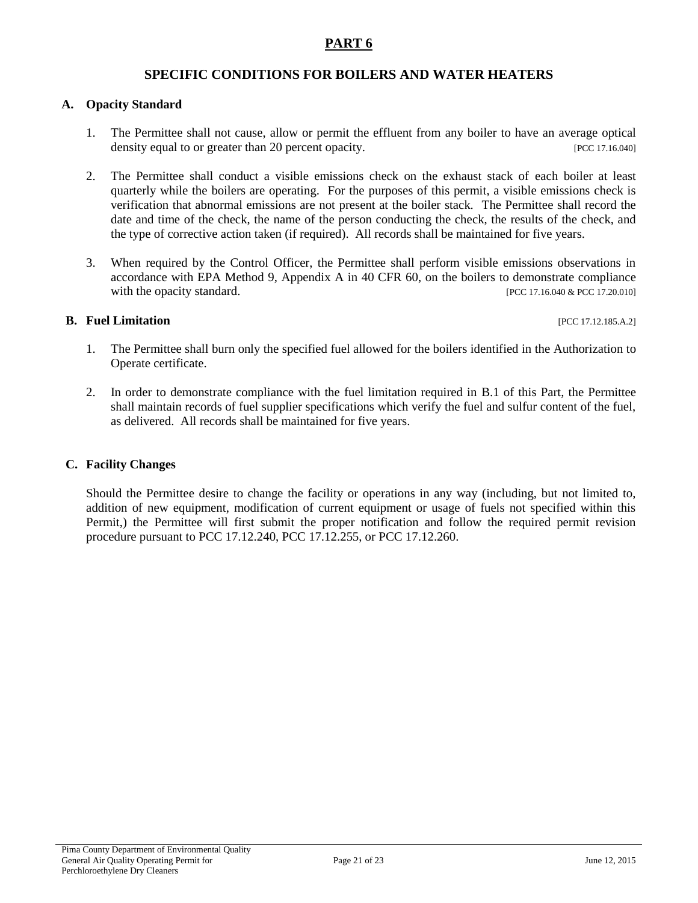### **SPECIFIC CONDITIONS FOR BOILERS AND WATER HEATERS**

#### **A. Opacity Standard**

- 1. The Permittee shall not cause, allow or permit the effluent from any boiler to have an average optical density equal to or greater than 20 percent opacity. [PCC 17.16.040]
- 2. The Permittee shall conduct a visible emissions check on the exhaust stack of each boiler at least quarterly while the boilers are operating. For the purposes of this permit, a visible emissions check is verification that abnormal emissions are not present at the boiler stack. The Permittee shall record the date and time of the check, the name of the person conducting the check, the results of the check, and the type of corrective action taken (if required). All records shall be maintained for five years.
- 3. When required by the Control Officer, the Permittee shall perform visible emissions observations in accordance with EPA Method 9, Appendix A in 40 CFR 60, on the boilers to demonstrate compliance with the opacity standard. [PCC 17.16.040 & PCC 17.20.010]

#### **B.** Fuel Limitation **contract in the set of the set of the set of the set of the set of the set of the set of the set of the set of the set of the set of the set of the set of the set of the set of the set of the set of t**

- 1. The Permittee shall burn only the specified fuel allowed for the boilers identified in the Authorization to Operate certificate.
- 2. In order to demonstrate compliance with the fuel limitation required in B.1 of this Part, the Permittee shall maintain records of fuel supplier specifications which verify the fuel and sulfur content of the fuel, as delivered. All records shall be maintained for five years.

#### **C. Facility Changes**

Should the Permittee desire to change the facility or operations in any way (including, but not limited to, addition of new equipment, modification of current equipment or usage of fuels not specified within this Permit,) the Permittee will first submit the proper notification and follow the required permit revision procedure pursuant to PCC 17.12.240, PCC 17.12.255, or PCC 17.12.260.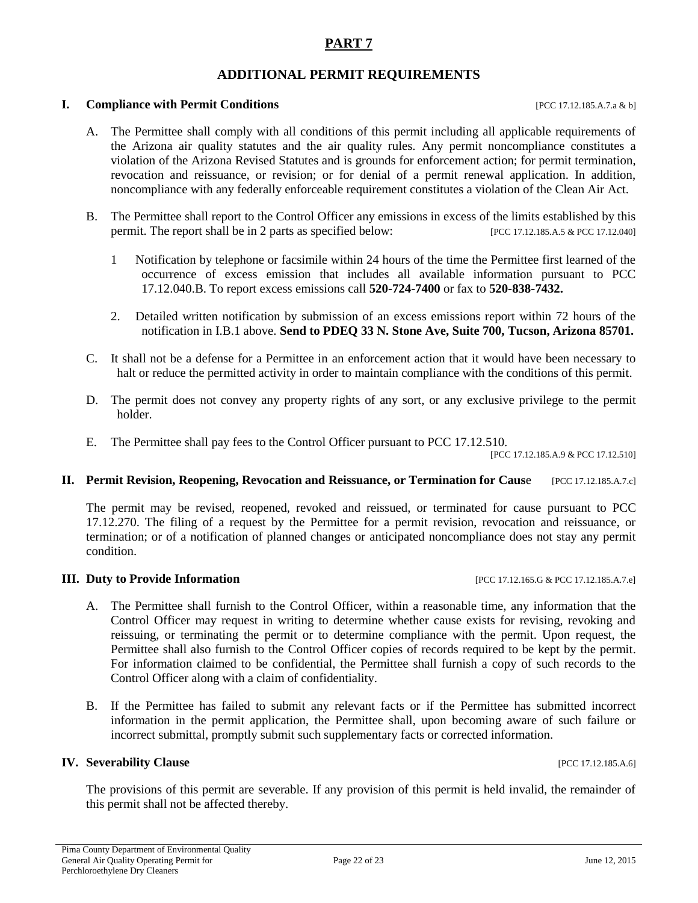## **ADDITIONAL PERMIT REQUIREMENTS**

#### **I. Compliance with Permit Conditions I.e. 2012 I.e. 2013 IPCC 17.12.185.A.7.a & b]**

- A. The Permittee shall comply with all conditions of this permit including all applicable requirements of the Arizona air quality statutes and the air quality rules. Any permit noncompliance constitutes a violation of the Arizona Revised Statutes and is grounds for enforcement action; for permit termination, revocation and reissuance, or revision; or for denial of a permit renewal application. In addition, noncompliance with any federally enforceable requirement constitutes a violation of the Clean Air Act.
- B. The Permittee shall report to the Control Officer any emissions in excess of the limits established by this permit. The report shall be in 2 parts as specified below: [PCC 17.12.185.A.5 & PCC 17.12.040]
	- 1 Notification by telephone or facsimile within 24 hours of the time the Permittee first learned of the occurrence of excess emission that includes all available information pursuant to PCC 17.12.040.B. To report excess emissions call **520-724-7400** or fax to **520-838-7432.**
	- 2. Detailed written notification by submission of an excess emissions report within 72 hours of the notification in I.B.1 above. **Send to PDEQ 33 N. Stone Ave, Suite 700, Tucson, Arizona 85701.**
- C. It shall not be a defense for a Permittee in an enforcement action that it would have been necessary to halt or reduce the permitted activity in order to maintain compliance with the conditions of this permit.
- D. The permit does not convey any property rights of any sort, or any exclusive privilege to the permit holder.
- E. The Permittee shall pay fees to the Control Officer pursuant to PCC 17.12.510.

[PCC 17.12.185.A.9 & PCC 17.12.510]

#### **II.** Permit Revision, Reopening, Revocation and Reissuance, or Termination for Cause [PCC 17.12.185.A.7.c]

The permit may be revised, reopened, revoked and reissued, or terminated for cause pursuant to PCC 17.12.270. The filing of a request by the Permittee for a permit revision, revocation and reissuance, or termination; or of a notification of planned changes or anticipated noncompliance does not stay any permit condition.

#### **III.** Duty to Provide Information [PCC 17.12.165.G & PCC 17.12.185.A.7.e]

- A. The Permittee shall furnish to the Control Officer, within a reasonable time, any information that the Control Officer may request in writing to determine whether cause exists for revising, revoking and reissuing, or terminating the permit or to determine compliance with the permit. Upon request, the Permittee shall also furnish to the Control Officer copies of records required to be kept by the permit. For information claimed to be confidential, the Permittee shall furnish a copy of such records to the Control Officer along with a claim of confidentiality.
- B. If the Permittee has failed to submit any relevant facts or if the Permittee has submitted incorrect information in the permit application, the Permittee shall, upon becoming aware of such failure or incorrect submittal, promptly submit such supplementary facts or corrected information.

#### **IV. Severability Clause IV. Severability Clause IPCC 17.12.185.A.6]**

The provisions of this permit are severable. If any provision of this permit is held invalid, the remainder of this permit shall not be affected thereby.